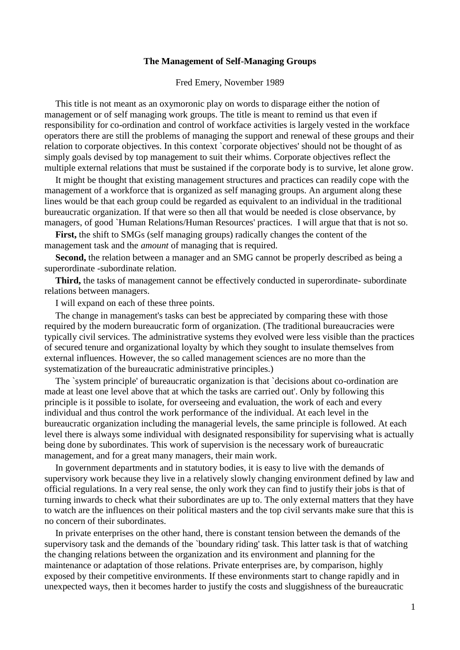## **The Management of Self-Managing Groups**

Fred Emery, November 1989

This title is not meant as an oxymoronic play on words to disparage either the notion of management or of self managing work groups. The title is meant to remind us that even if responsibility for co-ordination and control of workface activities is largely vested in the workface operators there are still the problems of managing the support and renewal of these groups and their relation to corporate objectives. In this context `corporate objectives' should not be thought of as simply goals devised by top management to suit their whims. Corporate objectives reflect the multiple external relations that must be sustained if the corporate body is to survive, let alone grow.

It might be thought that existing management structures and practices can readily cope with the management of a workforce that is organized as self managing groups. An argument along these lines would be that each group could be regarded as equivalent to an individual in the traditional bureaucratic organization. If that were so then all that would be needed is close observance, by managers, of good `Human Relations/Human Resources' practices. I will argue that that is not so.

**First,** the shift to SMGs (self managing groups) radically changes the content of the management task and the *amount* of managing that is required.

**Second,** the relation between a manager and an SMG cannot be properly described as being a superordinate -subordinate relation.

**Third,** the tasks of management cannot be effectively conducted in superordinate- subordinate relations between managers.

I will expand on each of these three points.

The change in management's tasks can best be appreciated by comparing these with those required by the modern bureaucratic form of organization. (The traditional bureaucracies were typically civil services. The administrative systems they evolved were less visible than the practices of secured tenure and organizational loyalty by which they sought to insulate themselves from external influences. However, the so called management sciences are no more than the systematization of the bureaucratic administrative principles.)

The `system principle' of bureaucratic organization is that `decisions about co-ordination are made at least one level above that at which the tasks are carried out'. Only by following this principle is it possible to isolate, for overseeing and evaluation, the work of each and every individual and thus control the work performance of the individual. At each level in the bureaucratic organization including the managerial levels, the same principle is followed. At each level there is always some individual with designated responsibility for supervising what is actually being done by subordinates. This work of supervision is the necessary work of bureaucratic management, and for a great many managers, their main work.

In government departments and in statutory bodies, it is easy to live with the demands of supervisory work because they live in a relatively slowly changing environment defined by law and official regulations. In a very real sense, the only work they can find to justify their jobs is that of turning inwards to check what their subordinates are up to. The only external matters that they have to watch are the influences on their political masters and the top civil servants make sure that this is no concern of their subordinates.

In private enterprises on the other hand, there is constant tension between the demands of the supervisory task and the demands of the `boundary riding' task. This latter task is that of watching the changing relations between the organization and its environment and planning for the maintenance or adaptation of those relations. Private enterprises are, by comparison, highly exposed by their competitive environments. If these environments start to change rapidly and in unexpected ways, then it becomes harder to justify the costs and sluggishness of the bureaucratic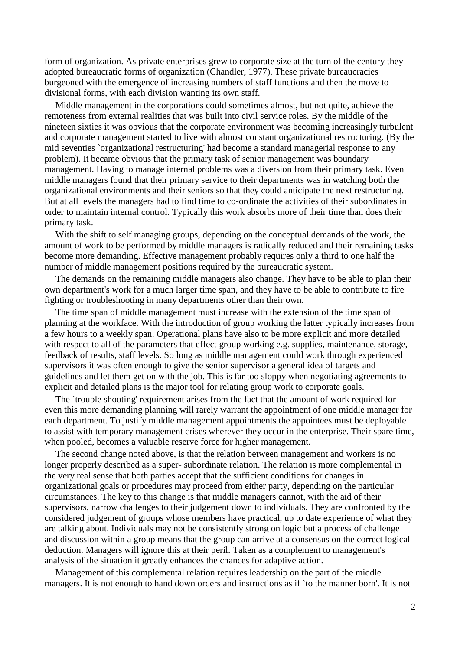form of organization. As private enterprises grew to corporate size at the turn of the century they adopted bureaucratic forms of organization (Chandler, 1977). These private bureaucracies burgeoned with the emergence of increasing numbers of staff functions and then the move to divisional forms, with each division wanting its own staff.

Middle management in the corporations could sometimes almost, but not quite, achieve the remoteness from external realities that was built into civil service roles. By the middle of the nineteen sixties it was obvious that the corporate environment was becoming increasingly turbulent and corporate management started to live with almost constant organizational restructuring. (By the mid seventies `organizational restructuring' had become a standard managerial response to any problem). It became obvious that the primary task of senior management was boundary management. Having to manage internal problems was a diversion from their primary task. Even middle managers found that their primary service to their departments was in watching both the organizational environments and their seniors so that they could anticipate the next restructuring. But at all levels the managers had to find time to co-ordinate the activities of their subordinates in order to maintain internal control. Typically this work absorbs more of their time than does their primary task.

With the shift to self managing groups, depending on the conceptual demands of the work, the amount of work to be performed by middle managers is radically reduced and their remaining tasks become more demanding. Effective management probably requires only a third to one half the number of middle management positions required by the bureaucratic system.

The demands on the remaining middle managers also change. They have to be able to plan their own department's work for a much larger time span, and they have to be able to contribute to fire fighting or troubleshooting in many departments other than their own.

The time span of middle management must increase with the extension of the time span of planning at the workface. With the introduction of group working the latter typically increases from a few hours to a weekly span. Operational plans have also to be more explicit and more detailed with respect to all of the parameters that effect group working e.g. supplies, maintenance, storage, feedback of results, staff levels. So long as middle management could work through experienced supervisors it was often enough to give the senior supervisor a general idea of targets and guidelines and let them get on with the job. This is far too sloppy when negotiating agreements to explicit and detailed plans is the major tool for relating group work to corporate goals.

The `trouble shooting' requirement arises from the fact that the amount of work required for even this more demanding planning will rarely warrant the appointment of one middle manager for each department. To justify middle management appointments the appointees must be deployable to assist with temporary management crises wherever they occur in the enterprise. Their spare time, when pooled, becomes a valuable reserve force for higher management.

The second change noted above, is that the relation between management and workers is no longer properly described as a super- subordinate relation. The relation is more complemental in the very real sense that both parties accept that the sufficient conditions for changes in organizational goals or procedures may proceed from either party, depending on the particular circumstances. The key to this change is that middle managers cannot, with the aid of their supervisors, narrow challenges to their judgement down to individuals. They are confronted by the considered judgement of groups whose members have practical, up to date experience of what they are talking about. Individuals may not be consistently strong on logic but a process of challenge and discussion within a group means that the group can arrive at a consensus on the correct logical deduction. Managers will ignore this at their peril. Taken as a complement to management's analysis of the situation it greatly enhances the chances for adaptive action.

Management of this complemental relation requires leadership on the part of the middle managers. It is not enough to hand down orders and instructions as if `to the manner born'. It is not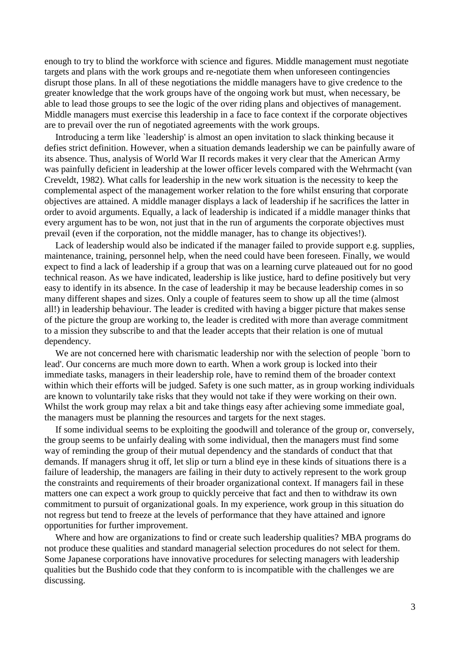enough to try to blind the workforce with science and figures. Middle management must negotiate targets and plans with the work groups and re-negotiate them when unforeseen contingencies disrupt those plans. In all of these negotiations the middle managers have to give credence to the greater knowledge that the work groups have of the ongoing work but must, when necessary, be able to lead those groups to see the logic of the over riding plans and objectives of management. Middle managers must exercise this leadership in a face to face context if the corporate objectives are to prevail over the run of negotiated agreements with the work groups.

Introducing a term like `leadership' is almost an open invitation to slack thinking because it defies strict definition. However, when a situation demands leadership we can be painfully aware of its absence. Thus, analysis of World War II records makes it very clear that the American Army was painfully deficient in leadership at the lower officer levels compared with the Wehrmacht (van Creveldt, 1982). What calls for leadership in the new work situation is the necessity to keep the complemental aspect of the management worker relation to the fore whilst ensuring that corporate objectives are attained. A middle manager displays a lack of leadership if he sacrifices the latter in order to avoid arguments. Equally, a lack of leadership is indicated if a middle manager thinks that every argument has to be won, not just that in the run of arguments the corporate objectives must prevail (even if the corporation, not the middle manager, has to change its objectives!).

Lack of leadership would also be indicated if the manager failed to provide support e.g. supplies, maintenance, training, personnel help, when the need could have been foreseen. Finally, we would expect to find a lack of leadership if a group that was on a learning curve plateaued out for no good technical reason. As we have indicated, leadership is like justice, hard to define positively but very easy to identify in its absence. In the case of leadership it may be because leadership comes in so many different shapes and sizes. Only a couple of features seem to show up all the time (almost all!) in leadership behaviour. The leader is credited with having a bigger picture that makes sense of the picture the group are working to, the leader is credited with more than average commitment to a mission they subscribe to and that the leader accepts that their relation is one of mutual dependency.

We are not concerned here with charismatic leadership nor with the selection of people `born to lead'. Our concerns are much more down to earth. When a work group is locked into their immediate tasks, managers in their leadership role, have to remind them of the broader context within which their efforts will be judged. Safety is one such matter, as in group working individuals are known to voluntarily take risks that they would not take if they were working on their own. Whilst the work group may relax a bit and take things easy after achieving some immediate goal, the managers must be planning the resources and targets for the next stages.

If some individual seems to be exploiting the goodwill and tolerance of the group or, conversely, the group seems to be unfairly dealing with some individual, then the managers must find some way of reminding the group of their mutual dependency and the standards of conduct that that demands. If managers shrug it off, let slip or turn a blind eye in these kinds of situations there is a failure of leadership, the managers are failing in their duty to actively represent to the work group the constraints and requirements of their broader organizational context. If managers fail in these matters one can expect a work group to quickly perceive that fact and then to withdraw its own commitment to pursuit of organizational goals. In my experience, work group in this situation do not regress but tend to freeze at the levels of performance that they have attained and ignore opportunities for further improvement.

Where and how are organizations to find or create such leadership qualities? MBA programs do not produce these qualities and standard managerial selection procedures do not select for them. Some Japanese corporations have innovative procedures for selecting managers with leadership qualities but the Bushido code that they conform to is incompatible with the challenges we are discussing.